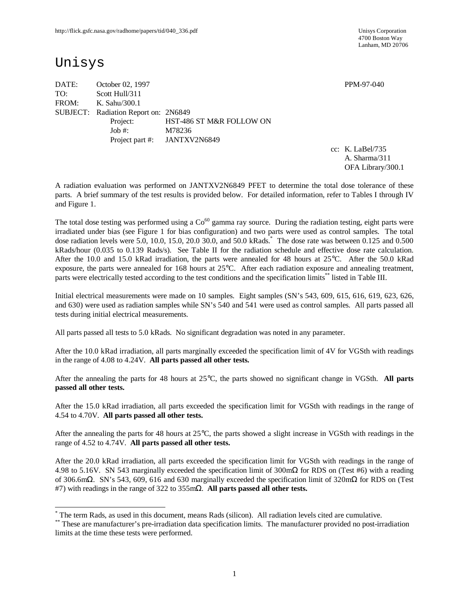4700 Boston Way Lanham, MD 20706

# Unisys

-

DATE: October 02, 1997 PPM-97-040 TO: Scott Hull/311 FROM: K. Sahu/300.1 SUBJECT: Radiation Report on: 2N6849 Project: HST-486 ST M&R FOLLOW ON Job #: M78236 Project part #: JANTXV2N6849

cc: K. LaBel/735 A. Sharma/311 OFA Library/300.1

A radiation evaluation was performed on JANTXV2N6849 PFET to determine the total dose tolerance of these parts. A brief summary of the test results is provided below. For detailed information, refer to Tables I through IV and Figure 1.

The total dose testing was performed using a  $Co<sup>60</sup>$  gamma ray source. During the radiation testing, eight parts were irradiated under bias (see Figure 1 for bias configuration) and two parts were used as control samples. The total dose radiation levels were 5.0, 10.0, 15.0, 20.0 30.0, and 50.0 kRads.\* The dose rate was between 0.125 and 0.500 kRads/hour (0.035 to 0.139 Rads/s). See Table II for the radiation schedule and effective dose rate calculation. After the 10.0 and 15.0 kRad irradiation, the parts were annealed for 48 hours at 25°C. After the 50.0 kRad exposure, the parts were annealed for 168 hours at 25°C. After each radiation exposure and annealing treatment, parts were electrically tested according to the test conditions and the specification limits\*\* listed in Table III.

Initial electrical measurements were made on 10 samples. Eight samples (SN's 543, 609, 615, 616, 619, 623, 626, and 630) were used as radiation samples while SN's 540 and 541 were used as control samples. All parts passed all tests during initial electrical measurements.

All parts passed all tests to 5.0 kRads. No significant degradation was noted in any parameter.

After the 10.0 kRad irradiation, all parts marginally exceeded the specification limit of 4V for VGSth with readings in the range of 4.08 to 4.24V. **All parts passed all other tests.**

After the annealing the parts for 48 hours at 25°C, the parts showed no significant change in VGSth. **All parts passed all other tests.**

After the 15.0 kRad irradiation, all parts exceeded the specification limit for VGSth with readings in the range of 4.54 to 4.70V. **All parts passed all other tests.**

After the annealing the parts for 48 hours at 25°C, the parts showed a slight increase in VGSth with readings in the range of 4.52 to 4.74V. **All parts passed all other tests.**

After the 20.0 kRad irradiation, all parts exceeded the specification limit for VGSth with readings in the range of 4.98 to 5.16V. SN 543 marginally exceeded the specification limit of 300mΩ for RDS on (Test #6) with a reading of 306.6mΩ. SN's 543, 609, 616 and 630 marginally exceeded the specification limit of 320mΩ for RDS on (Test #7) with readings in the range of 322 to 355mΩ. **All parts passed all other tests.**

<sup>\*</sup> The term Rads, as used in this document, means Rads (silicon). All radiation levels cited are cumulative.

<sup>\*\*</sup> These are manufacturer's pre-irradiation data specification limits. The manufacturer provided no post-irradiation limits at the time these tests were performed.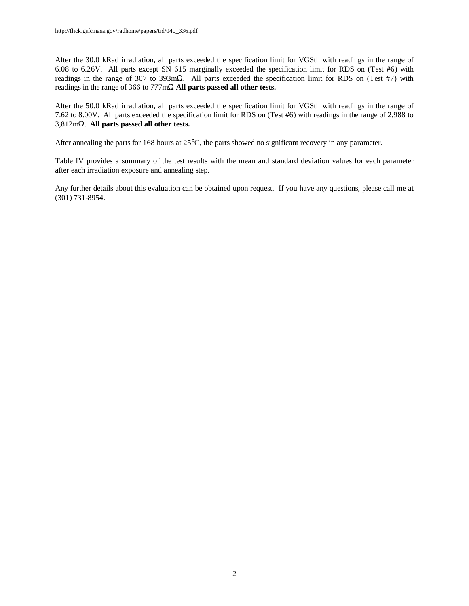After the 30.0 kRad irradiation, all parts exceeded the specification limit for VGSth with readings in the range of 6.08 to 6.26V. All parts except SN 615 marginally exceeded the specification limit for RDS on (Test #6) with readings in the range of 307 to 393mΩ. All parts exceeded the specification limit for RDS on (Test #7) with readings in the range of 366 to 777mΩ **All parts passed all other tests.**

After the 50.0 kRad irradiation, all parts exceeded the specification limit for VGSth with readings in the range of 7.62 to 8.00V. All parts exceeded the specification limit for RDS on (Test #6) with readings in the range of 2,988 to 3,812mΩ. **All parts passed all other tests.**

After annealing the parts for 168 hours at 25°C, the parts showed no significant recovery in any parameter.

Table IV provides a summary of the test results with the mean and standard deviation values for each parameter after each irradiation exposure and annealing step.

Any further details about this evaluation can be obtained upon request. If you have any questions, please call me at (301) 731-8954.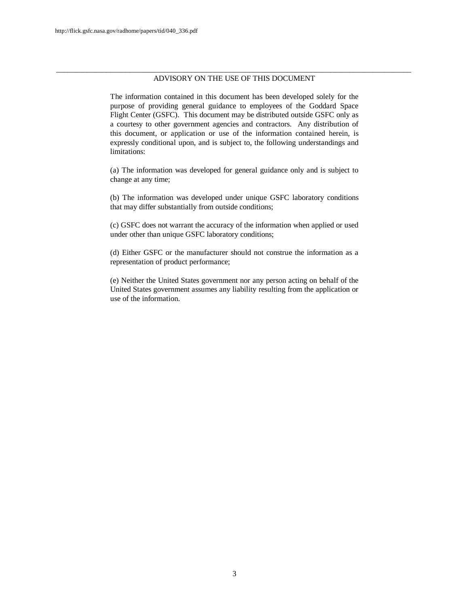#### \_\_\_\_\_\_\_\_\_\_\_\_\_\_\_\_\_\_\_\_\_\_\_\_\_\_\_\_\_\_\_\_\_\_\_\_\_\_\_\_\_\_\_\_\_\_\_\_\_\_\_\_\_\_\_\_\_\_\_\_\_\_\_\_\_\_\_\_\_\_\_\_\_\_\_\_\_\_\_\_\_\_\_\_\_\_\_\_\_\_\_\_ ADVISORY ON THE USE OF THIS DOCUMENT

The information contained in this document has been developed solely for the purpose of providing general guidance to employees of the Goddard Space Flight Center (GSFC). This document may be distributed outside GSFC only as a courtesy to other government agencies and contractors. Any distribution of this document, or application or use of the information contained herein, is expressly conditional upon, and is subject to, the following understandings and limitations:

(a) The information was developed for general guidance only and is subject to change at any time;

(b) The information was developed under unique GSFC laboratory conditions that may differ substantially from outside conditions;

(c) GSFC does not warrant the accuracy of the information when applied or used under other than unique GSFC laboratory conditions;

(d) Either GSFC or the manufacturer should not construe the information as a representation of product performance;

(e) Neither the United States government nor any person acting on behalf of the United States government assumes any liability resulting from the application or use of the information.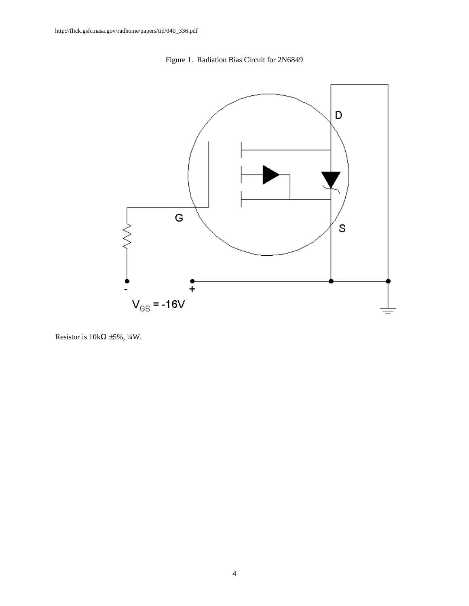



Resistor is  $10k\Omega \pm 5\%, \frac{1}{4}W$ .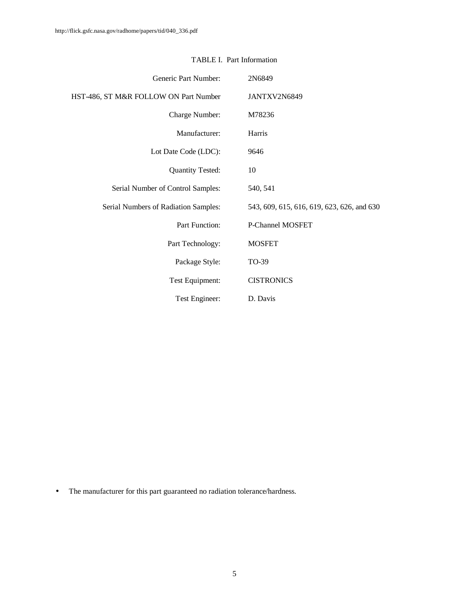| Generic Part Number:                  | 2N6849                                     |
|---------------------------------------|--------------------------------------------|
| HST-486, ST M&R FOLLOW ON Part Number | JANTXV2N6849                               |
| Charge Number:                        | M78236                                     |
| Manufacturer:                         | Harris                                     |
| Lot Date Code (LDC):                  | 9646                                       |
| <b>Quantity Tested:</b>               | 10                                         |
| Serial Number of Control Samples:     | 540, 541                                   |
| Serial Numbers of Radiation Samples:  | 543, 609, 615, 616, 619, 623, 626, and 630 |
| Part Function:                        | P-Channel MOSFET                           |
| Part Technology:                      | <b>MOSFET</b>                              |
| Package Style:                        | TO-39                                      |
| Test Equipment:                       | <b>CISTRONICS</b>                          |
| Test Engineer:                        | D. Davis                                   |

### TABLE I. Part Information

• The manufacturer for this part guaranteed no radiation tolerance/hardness.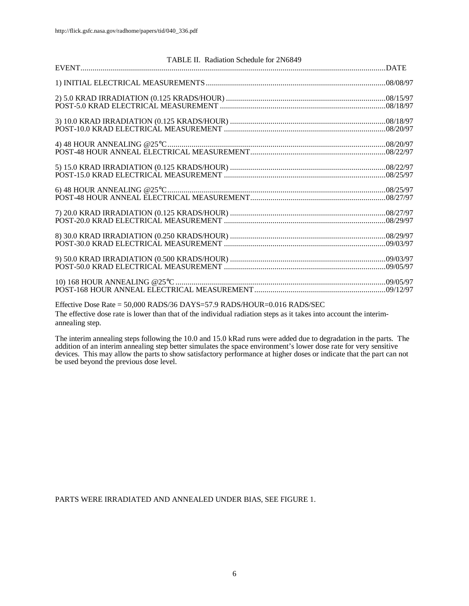| TABLE II. Radiation Schedule for 2N6849                                 |  |
|-------------------------------------------------------------------------|--|
|                                                                         |  |
|                                                                         |  |
|                                                                         |  |
|                                                                         |  |
|                                                                         |  |
|                                                                         |  |
|                                                                         |  |
|                                                                         |  |
|                                                                         |  |
|                                                                         |  |
|                                                                         |  |
|                                                                         |  |
|                                                                         |  |
|                                                                         |  |
|                                                                         |  |
|                                                                         |  |
|                                                                         |  |
|                                                                         |  |
|                                                                         |  |
|                                                                         |  |
| Effective Dose Rate = 50,000 RADS/36 DAYS=57.9 RADS/HOUR=0.016 RADS/SEC |  |

The effective dose rate is lower than that of the individual radiation steps as it takes into account the interimannealing step.

The interim annealing steps following the 10.0 and 15.0 kRad runs were added due to degradation in the parts. The addition of an interim annealing step better simulates the space environment's lower dose rate for very sensitive devices. This may allow the parts to show satisfactory performance at higher doses or indicate that the part can not be used beyond the previous dose level.

PARTS WERE IRRADIATED AND ANNEALED UNDER BIAS, SEE FIGURE 1.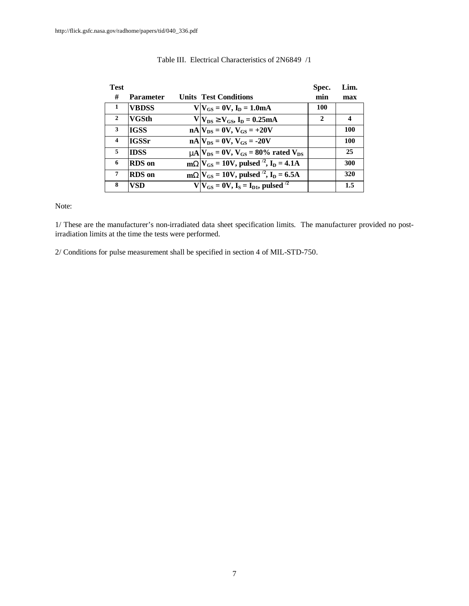| <b>Test</b>             |                  |                                                                | Spec.        | Lim.             |
|-------------------------|------------------|----------------------------------------------------------------|--------------|------------------|
| #                       | <b>Parameter</b> | <b>Units Test Conditions</b>                                   | min          | max              |
| -1                      | <b>VBDSS</b>     | $V V_{GS} = 0V, I_D = 1.0mA$                                   | 100          |                  |
| 2                       | <b>VGSth</b>     | $V V_{DS}$ <sup>3</sup> $V_{GS}$ , $I_D = 0.25mA$              | $\mathbf{2}$ | $\boldsymbol{4}$ |
| 3                       | <b>IGSS</b>      | $nA V_{DS} = 0V$ , $V_{GS} = +20V$                             |              | 100              |
| $\overline{\mathbf{4}}$ | <b>IGSSr</b>     | $nA$ $V_{DS}$ = 0V, $V_{GS}$ = -20V                            |              | 100              |
| 5                       | <b>IDSS</b>      | $mA$ $V_{DS}$ = 0V, $V_{GS}$ = 80% rated $V_{DS}$              |              | 25               |
| 6                       | <b>RDS</b> on    | $mWV_{GS} = 10V$ , pulsed <sup>2</sup> , I <sub>D</sub> = 4.1A |              | 300              |
| 7                       | <b>RDS</b> on    | $mWV_{GS} = 10V$ , pulsed <sup>2</sup> , I <sub>D</sub> = 6.5A |              | 320              |
| 8                       | VSD              | $V V_{GS} = 0V$ , $I_S = I_{D1}$ , pulsed <sup>/2</sup>        |              | 1.5              |

#### Table III. Electrical Characteristics of 2N6849 /1

Note:

1/ These are the manufacturer's non-irradiated data sheet specification limits. The manufacturer provided no postirradiation limits at the time the tests were performed.

2/ Conditions for pulse measurement shall be specified in section 4 of MIL-STD-750.